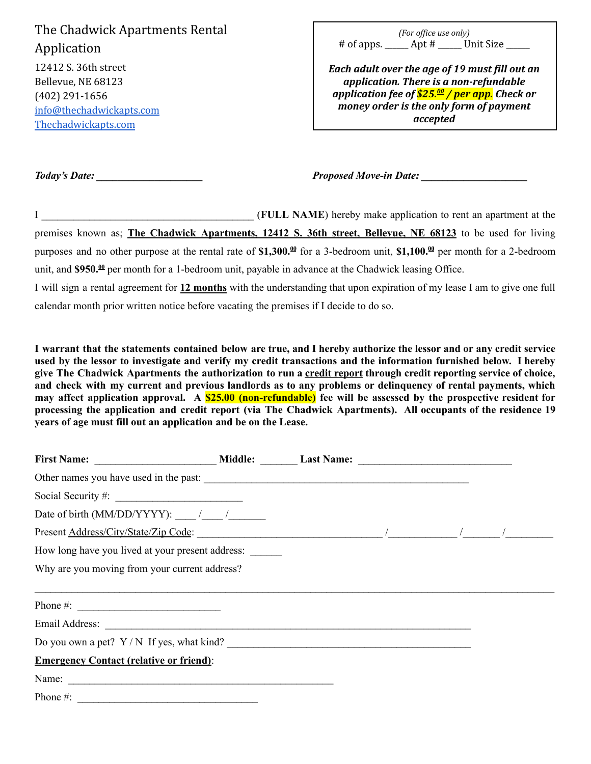The Chadwick Apartments Rental Application 12412 S. 36th street Bellevue, NE 68123 (402) 291-1656 [info@thechadwickapts.com](mailto:info@thechadwickapts.com)

|            | (For office use only) |           |
|------------|-----------------------|-----------|
| # of apps. | Apt #                 | Unit Size |

*Each adult over the age of 19 must fill out an application. There is a non-refundable application fee of \$25. <sup>00</sup> / per app. Check or money order is the only form of payment accepted*

[Thechadwickapts.com](https://thechadwickapts.com/)

*Today's Date: \_\_\_\_\_\_\_\_\_\_\_\_\_\_\_\_\_\_\_\_ Proposed Move-in Date: \_\_\_\_\_\_\_\_\_\_\_\_\_\_\_\_\_\_\_\_*

I \_\_\_\_\_\_\_\_\_\_\_\_\_\_\_\_\_\_\_\_\_\_\_\_\_\_\_\_\_\_\_\_\_\_\_\_\_\_\_\_ (**FULL NAME**) hereby make application to rent an apartment at the premises known as; **The Chadwick Apartments, 12412 S. 36th street, Bellevue, NE 68123** to be used for living purposes and no other purpose at the rental rate of \$1,300.<sup> $\omega$ </sup> for a 3-bedroom unit, \$1,100. $\omega$  per month for a 2-bedroom unit, and \$950.<sup>th</sup> per month for a 1-bedroom unit, payable in advance at the Chadwick leasing Office. I will sign a rental agreement for **12 months** with the understanding that upon expiration of my lease I am to give one full

calendar month prior written notice before vacating the premises if I decide to do so.

I warrant that the statements contained below are true, and I hereby authorize the lessor and or any credit service used by the lessor to investigate and verify my credit transactions and the information furnished below. I hereby give The Chadwick Apartments the authorization to run a credit report through credit reporting service of choice, and check with my current and previous landlords as to any problems or delinquency of rental payments, which **may affect application approval. A \$25.00 (non-refundable) fee will be assessed by the prospective resident for processing the application and credit report (via The Chadwick Apartments). All occupants of the residence 19 years of age must fill out an application and be on the Lease.**

| Date of birth (MM/DD/YYYY): $\frac{1}{\sqrt{2\pi}}$                                                                                                                                                                                                                                                                |  |  |  |
|--------------------------------------------------------------------------------------------------------------------------------------------------------------------------------------------------------------------------------------------------------------------------------------------------------------------|--|--|--|
|                                                                                                                                                                                                                                                                                                                    |  |  |  |
| How long have you lived at your present address:                                                                                                                                                                                                                                                                   |  |  |  |
| Why are you moving from your current address?                                                                                                                                                                                                                                                                      |  |  |  |
|                                                                                                                                                                                                                                                                                                                    |  |  |  |
| Phone #: $\frac{1}{2}$ $\frac{1}{2}$ $\frac{1}{2}$ $\frac{1}{2}$ $\frac{1}{2}$ $\frac{1}{2}$ $\frac{1}{2}$ $\frac{1}{2}$ $\frac{1}{2}$ $\frac{1}{2}$ $\frac{1}{2}$ $\frac{1}{2}$ $\frac{1}{2}$ $\frac{1}{2}$ $\frac{1}{2}$ $\frac{1}{2}$ $\frac{1}{2}$ $\frac{1}{2}$ $\frac{1}{2}$ $\frac{1}{2}$ $\frac{1}{2}$ $\$ |  |  |  |
|                                                                                                                                                                                                                                                                                                                    |  |  |  |
| Do you own a pet? $Y/N$ If yes, what kind?                                                                                                                                                                                                                                                                         |  |  |  |
| <b>Emergency Contact (relative or friend):</b>                                                                                                                                                                                                                                                                     |  |  |  |
|                                                                                                                                                                                                                                                                                                                    |  |  |  |
| Phone $#$ :                                                                                                                                                                                                                                                                                                        |  |  |  |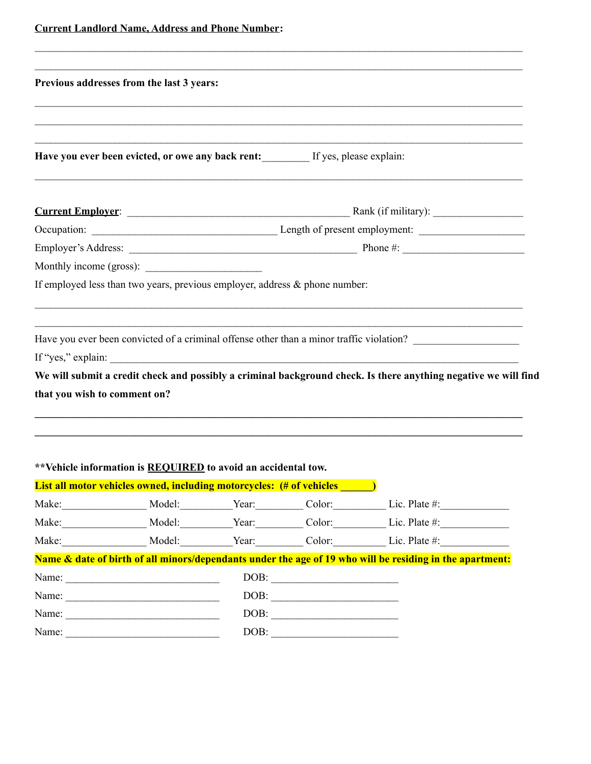|  | <b>Current Landlord Name, Address and Phone Number:</b> |
|--|---------------------------------------------------------|
|  |                                                         |

|                              | Previous addresses from the last 3 years:                                                               |                                                                                                                                                                                                                                                                                                                                                                                                                                                                                                                                              |                                                                                                                 |  |
|------------------------------|---------------------------------------------------------------------------------------------------------|----------------------------------------------------------------------------------------------------------------------------------------------------------------------------------------------------------------------------------------------------------------------------------------------------------------------------------------------------------------------------------------------------------------------------------------------------------------------------------------------------------------------------------------------|-----------------------------------------------------------------------------------------------------------------|--|
|                              |                                                                                                         |                                                                                                                                                                                                                                                                                                                                                                                                                                                                                                                                              |                                                                                                                 |  |
|                              |                                                                                                         |                                                                                                                                                                                                                                                                                                                                                                                                                                                                                                                                              |                                                                                                                 |  |
|                              |                                                                                                         |                                                                                                                                                                                                                                                                                                                                                                                                                                                                                                                                              |                                                                                                                 |  |
|                              | Have you ever been evicted, or owe any back rent: If yes, please explain:                               |                                                                                                                                                                                                                                                                                                                                                                                                                                                                                                                                              |                                                                                                                 |  |
|                              |                                                                                                         |                                                                                                                                                                                                                                                                                                                                                                                                                                                                                                                                              |                                                                                                                 |  |
|                              |                                                                                                         |                                                                                                                                                                                                                                                                                                                                                                                                                                                                                                                                              |                                                                                                                 |  |
|                              |                                                                                                         |                                                                                                                                                                                                                                                                                                                                                                                                                                                                                                                                              |                                                                                                                 |  |
|                              |                                                                                                         |                                                                                                                                                                                                                                                                                                                                                                                                                                                                                                                                              |                                                                                                                 |  |
|                              | If employed less than two years, previous employer, address $\&$ phone number:                          |                                                                                                                                                                                                                                                                                                                                                                                                                                                                                                                                              |                                                                                                                 |  |
|                              |                                                                                                         |                                                                                                                                                                                                                                                                                                                                                                                                                                                                                                                                              |                                                                                                                 |  |
|                              |                                                                                                         |                                                                                                                                                                                                                                                                                                                                                                                                                                                                                                                                              |                                                                                                                 |  |
|                              |                                                                                                         |                                                                                                                                                                                                                                                                                                                                                                                                                                                                                                                                              |                                                                                                                 |  |
|                              |                                                                                                         |                                                                                                                                                                                                                                                                                                                                                                                                                                                                                                                                              | Have you ever been convicted of a criminal offense other than a minor traffic violation?                        |  |
|                              | If "yes," explain: $\sqrt{\frac{2}{1-\frac{1}{2}} + \frac{1}{2-\frac{1}{2}} + \frac{1}{2-\frac{1}{2}}}$ |                                                                                                                                                                                                                                                                                                                                                                                                                                                                                                                                              |                                                                                                                 |  |
|                              |                                                                                                         |                                                                                                                                                                                                                                                                                                                                                                                                                                                                                                                                              | We will submit a credit check and possibly a criminal background check. Is there anything negative we will find |  |
|                              |                                                                                                         |                                                                                                                                                                                                                                                                                                                                                                                                                                                                                                                                              |                                                                                                                 |  |
|                              |                                                                                                         |                                                                                                                                                                                                                                                                                                                                                                                                                                                                                                                                              |                                                                                                                 |  |
|                              |                                                                                                         |                                                                                                                                                                                                                                                                                                                                                                                                                                                                                                                                              |                                                                                                                 |  |
|                              |                                                                                                         |                                                                                                                                                                                                                                                                                                                                                                                                                                                                                                                                              |                                                                                                                 |  |
|                              | **Vehicle information is REQUIRED to avoid an accidental tow.                                           |                                                                                                                                                                                                                                                                                                                                                                                                                                                                                                                                              |                                                                                                                 |  |
|                              | <b>List all motor vehicles owned, including motorcycles:</b> (# of vehicles                             |                                                                                                                                                                                                                                                                                                                                                                                                                                                                                                                                              |                                                                                                                 |  |
|                              |                                                                                                         |                                                                                                                                                                                                                                                                                                                                                                                                                                                                                                                                              | Make: Model: Model: Year: Color: Lic. Plate #:                                                                  |  |
|                              |                                                                                                         |                                                                                                                                                                                                                                                                                                                                                                                                                                                                                                                                              | Make: Model: Model: Year: Color: Lic. Plate #:                                                                  |  |
|                              |                                                                                                         |                                                                                                                                                                                                                                                                                                                                                                                                                                                                                                                                              | Make: Model: Year: Color: Lic. Plate #:                                                                         |  |
|                              |                                                                                                         |                                                                                                                                                                                                                                                                                                                                                                                                                                                                                                                                              | Name & date of birth of all minors/dependants under the age of 19 who will be residing in the apartment:        |  |
|                              |                                                                                                         | DOB:                                                                                                                                                                                                                                                                                                                                                                                                                                                                                                                                         |                                                                                                                 |  |
|                              | Name:                                                                                                   | DOB:                                                                                                                                                                                                                                                                                                                                                                                                                                                                                                                                         |                                                                                                                 |  |
| that you wish to comment on? |                                                                                                         | $\boxed{\text{DOB:}\quad \textcolor{red}{\overbrace{\text{1.00}}\text{ }} \textcolor{blue}{\overbrace{\text{1.00}}\text{ }} \textcolor{blue}{\overbrace{\text{1.00}}\text{ }} \textcolor{blue}{\overbrace{\text{1.00}}\text{ }} \textcolor{blue}{\overbrace{\text{1.00}}\text{ }} \textcolor{blue}{\overbrace{\text{1.00}}\text{ }} \textcolor{blue}{\overbrace{\text{1.00}}\text{ }} \textcolor{blue}{\overbrace{\text{1.00}}\text{ }} \textcolor{blue}{\overbrace{\text{1.00}}\text{ }} \textcolor{blue}{\overbrace{\text{1.00}}\text{ }}$ |                                                                                                                 |  |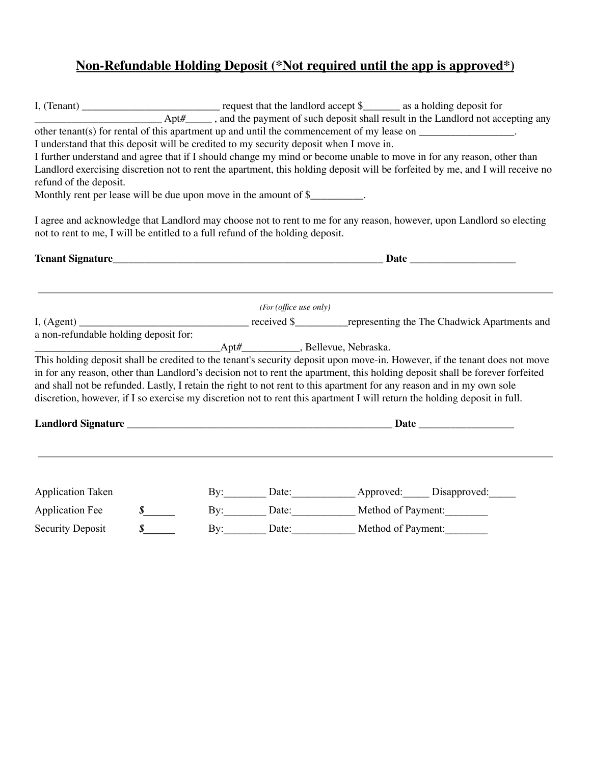## **Non-Refundable Holding Deposit (\*Not required until the app is approved\*)**

|                                                                                        |               |                        |                                    | $Apt#$ <sub>1</sub> , and the payment of such deposit shall result in the Landlord not accepting any                                                                                                                                 |
|----------------------------------------------------------------------------------------|---------------|------------------------|------------------------------------|--------------------------------------------------------------------------------------------------------------------------------------------------------------------------------------------------------------------------------------|
|                                                                                        |               |                        |                                    | other tenant(s) for rental of this apartment up and until the commencement of my lease on $\Box$                                                                                                                                     |
| I understand that this deposit will be credited to my security deposit when I move in. |               |                        |                                    |                                                                                                                                                                                                                                      |
|                                                                                        |               |                        |                                    | I further understand and agree that if I should change my mind or become unable to move in for any reason, other than                                                                                                                |
|                                                                                        |               |                        |                                    | Landlord exercising discretion not to rent the apartment, this holding deposit will be forfeited by me, and I will receive no                                                                                                        |
| refund of the deposit.                                                                 |               |                        |                                    |                                                                                                                                                                                                                                      |
| Monthly rent per lease will be due upon move in the amount of \$                       |               |                        |                                    |                                                                                                                                                                                                                                      |
|                                                                                        |               |                        |                                    | I agree and acknowledge that Landlord may choose not to rent to me for any reason, however, upon Landlord so electing                                                                                                                |
| not to rent to me, I will be entitled to a full refund of the holding deposit.         |               |                        |                                    |                                                                                                                                                                                                                                      |
|                                                                                        |               |                        |                                    | Tenant Signature Date <b>Date Discovered by Discovering Contract Contract Contract Contract Contract Contract Contract Contract Contract Contract Contract Contract Contract Contract Contract Contract Contract Contract Contra</b> |
|                                                                                        |               |                        |                                    |                                                                                                                                                                                                                                      |
|                                                                                        |               | (For (office use only) |                                    |                                                                                                                                                                                                                                      |
|                                                                                        |               |                        |                                    |                                                                                                                                                                                                                                      |
| a non-refundable holding deposit for:                                                  |               |                        |                                    |                                                                                                                                                                                                                                      |
|                                                                                        |               |                        |                                    |                                                                                                                                                                                                                                      |
|                                                                                        |               |                        |                                    | This holding deposit shall be credited to the tenant's security deposit upon move-in. However, if the tenant does not move                                                                                                           |
|                                                                                        |               |                        |                                    | in for any reason, other than Landlord's decision not to rent the apartment, this holding deposit shall be forever forfeited                                                                                                         |
|                                                                                        |               |                        |                                    | and shall not be refunded. Lastly, I retain the right to not rent to this apartment for any reason and in my own sole                                                                                                                |
|                                                                                        |               |                        |                                    | discretion, however, if I so exercise my discretion not to rent this apartment I will return the holding deposit in full.                                                                                                            |
|                                                                                        |               |                        |                                    |                                                                                                                                                                                                                                      |
|                                                                                        |               |                        |                                    |                                                                                                                                                                                                                                      |
| <b>Application Taken</b>                                                               |               |                        |                                    | By: Date: Date: Approved: Disapproved: Manufactured: Disapproved:                                                                                                                                                                    |
| <b>Application Fee</b>                                                                 | $\frac{s}{s}$ |                        | By: Date: Date: Method of Payment: |                                                                                                                                                                                                                                      |
| <b>Security Deposit</b>                                                                | $\int$        |                        | By: Date: Date: Method of Payment: |                                                                                                                                                                                                                                      |
|                                                                                        |               |                        |                                    |                                                                                                                                                                                                                                      |